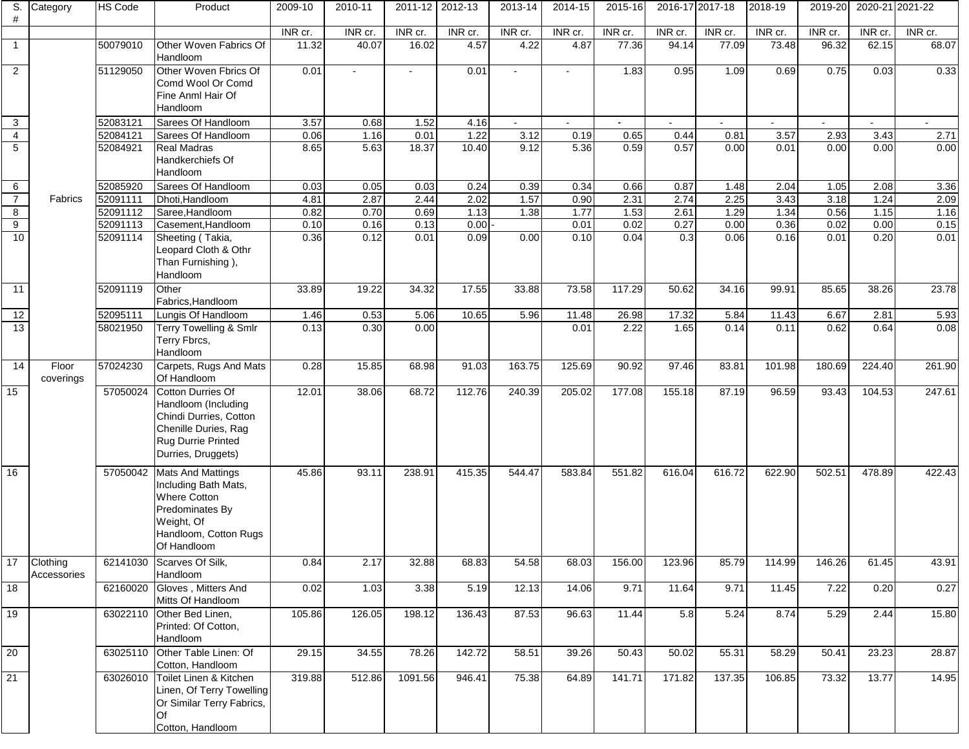| S.<br>#         | Category                | <b>HS Code</b> | Product                                                                                                                                            | 2009-10 | 2010-11                     | 2011-12 2012-13 |         | 2013-14 | 2014-15 | 2015-16 | 2016-17 2017-18 |         | 2018-19 | 2019-20 | 2020-21 2021-22 |         |
|-----------------|-------------------------|----------------|----------------------------------------------------------------------------------------------------------------------------------------------------|---------|-----------------------------|-----------------|---------|---------|---------|---------|-----------------|---------|---------|---------|-----------------|---------|
|                 |                         |                |                                                                                                                                                    | INR cr. | $\overline{\text{INR}}$ cr. | INR cr.         | INR cr. | INR cr. | INR cr. | INR cr. | INR cr.         | INR cr. | INR cr. | INR cr. | INR cr.         | INR cr. |
| $\mathbf{1}$    |                         | 50079010       | Other Woven Fabrics Of<br>Handloom                                                                                                                 | 11.32   | 40.07                       | 16.02           | 4.57    | 4.22    | 4.87    | 77.36   | 94.14           | 77.09   | 73.48   | 96.32   | 62.15           | 68.07   |
| $\overline{2}$  |                         | 51129050       | Other Woven Fbrics Of<br>Comd Wool Or Comd<br>Fine Anml Hair Of<br>Handloom                                                                        | 0.01    |                             |                 | 0.01    |         |         | 1.83    | 0.95            | 1.09    | 0.69    | 0.75    | 0.03            | 0.33    |
| $\mathbf{3}$    |                         | 52083121       | Sarees Of Handloom                                                                                                                                 | 3.57    | 0.68                        | 1.52            | 4.16    |         |         |         |                 |         |         |         |                 |         |
| $\overline{4}$  |                         | 52084121       | Sarees Of Handloom                                                                                                                                 | 0.06    | 1.16                        | 0.01            | 1.22    | 3.12    | 0.19    | 0.65    | 0.44            | 0.81    | 3.57    | 2.93    | 3.43            | 2.71    |
| 5               |                         | 52084921       | <b>Real Madras</b><br>Handkerchiefs Of<br>Handloom                                                                                                 | 8.65    | 5.63                        | 18.37           | 10.40   | 9.12    | 5.36    | 0.59    | 0.57            | 0.00    | 0.01    | 0.00    | 0.00            | 0.00    |
| 6               |                         | 52085920       | Sarees Of Handloom                                                                                                                                 | 0.03    | 0.05                        | 0.03            | 0.24    | 0.39    | 0.34    | 0.66    | 0.87            | 1.48    | 2.04    | 1.05    | 2.08            | 3.36    |
| $\overline{7}$  | Fabrics                 | 52091111       | Dhoti, Handloom                                                                                                                                    | 4.81    | 2.87                        | 2.44            | 2.02    | 1.57    | 0.90    | 2.31    | 2.74            | 2.25    | 3.43    | 3.18    | 1.24            | 2.09    |
| $\overline{8}$  |                         | 52091112       | Saree, Handloom                                                                                                                                    | 0.82    | 0.70                        | 0.69            | 1.13    | 1.38    | 1.77    | 1.53    | 2.61            | 1.29    | 1.34    | 0.56    | 1.15            | 1.16    |
| 9               |                         | 52091113       | Casement, Handloom                                                                                                                                 | 0.10    | 0.16                        | 0.13            | 0.00    |         | 0.01    | 0.02    | 0.27            | 0.00    | 0.36    | 0.02    | 0.00            | 0.15    |
| 10              |                         | 52091114       | Sheeting (Takia,<br>Leopard Cloth & Othr<br>Than Furnishing),<br>Handloom                                                                          | 0.36    | 0.12                        | 0.01            | 0.09    | 0.00    | 0.10    | 0.04    | 0.3             | 0.06    | 0.16    | 0.01    | 0.20            | 0.01    |
| 11              |                         | 52091119       | Other<br>Fabrics.Handloom                                                                                                                          | 33.89   | 19.22                       | 34.32           | 17.55   | 33.88   | 73.58   | 117.29  | 50.62           | 34.16   | 99.91   | 85.65   | 38.26           | 23.78   |
| 12              |                         | 52095111       | Lungis Of Handloom                                                                                                                                 | 1.46    | 0.53                        | 5.06            | 10.65   | 5.96    | 11.48   | 26.98   | 17.32           | 5.84    | 11.43   | 6.67    | 2.81            | 5.93    |
| $\overline{13}$ |                         | 58021950       | Terry Towelling & Smlr<br>Terry Fbrcs,<br>Handloom                                                                                                 | 0.13    | 0.30                        | 0.00            |         |         | 0.01    | 2.22    | 1.65            | 0.14    | 0.11    | 0.62    | 0.64            | 0.08    |
| 14              | Floor<br>coverings      | 57024230       | Carpets, Rugs And Mats<br>Of Handloom                                                                                                              | 0.28    | 15.85                       | 68.98           | 91.03   | 163.75  | 125.69  | 90.92   | 97.46           | 83.81   | 101.98  | 180.69  | 224.40          | 261.90  |
| 15              |                         | 57050024       | <b>Cotton Durries Of</b><br>Handloom (Including<br>Chindi Durries, Cotton<br>Chenille Duries, Rag<br>Rug Durrie Printed<br>Durries, Druggets)      | 12.01   | 38.06                       | 68.72           | 112.76  | 240.39  | 205.02  | 177.08  | 155.18          | 87.19   | 96.59   | 93.43   | 104.53          | 247.61  |
| 16              |                         |                | 57050042 Mats And Mattings<br>Including Bath Mats,<br><b>Where Cotton</b><br>Predominates By<br>Weight, Of<br>Handloom, Cotton Rugs<br>Of Handloom | 45.86   | 93.11                       | 238.91          | 415.35  | 544.47  | 583.84  | 551.82  | 616.04          | 616.72  | 622.90  | 502.51  | 478.89          | 422.43  |
| 17              | Clothing<br>Accessories | 62141030       | Scarves Of Silk,<br>Handloom                                                                                                                       | 0.84    | 2.17                        | 32.88           | 68.83   | 54.58   | 68.03   | 156.00  | 123.96          | 85.79   | 114.99  | 146.26  | 61.45           | 43.91   |
| 18              |                         | 62160020       | Gloves, Mitters And<br>Mitts Of Handloom                                                                                                           | 0.02    | 1.03                        | 3.38            | 5.19    | 12.13   | 14.06   | 9.71    | 11.64           | 9.71    | 11.45   | 7.22    | 0.20            | 0.27    |
| 19              |                         | 63022110       | Other Bed Linen,<br>Printed: Of Cotton,<br>Handloom                                                                                                | 105.86  | 126.05                      | 198.12          | 136.43  | 87.53   | 96.63   | 11.44   | 5.8             | 5.24    | 8.74    | 5.29    | 2.44            | 15.80   |
| 20              |                         | 63025110       | Other Table Linen: Of<br>Cotton, Handloom                                                                                                          | 29.15   | 34.55                       | 78.26           | 142.72  | 58.51   | 39.26   | 50.43   | 50.02           | 55.31   | 58.29   | 50.41   | 23.23           | 28.87   |
| $\overline{21}$ |                         | 63026010       | Toilet Linen & Kitchen<br>Linen, Of Terry Towelling<br>Or Similar Terry Fabrics,<br>Of<br>Cotton, Handloom                                         | 319.88  | 512.86                      | 1091.56         | 946.41  | 75.38   | 64.89   | 141.71  | 171.82          | 137.35  | 106.85  | 73.32   | 13.77           | 14.95   |